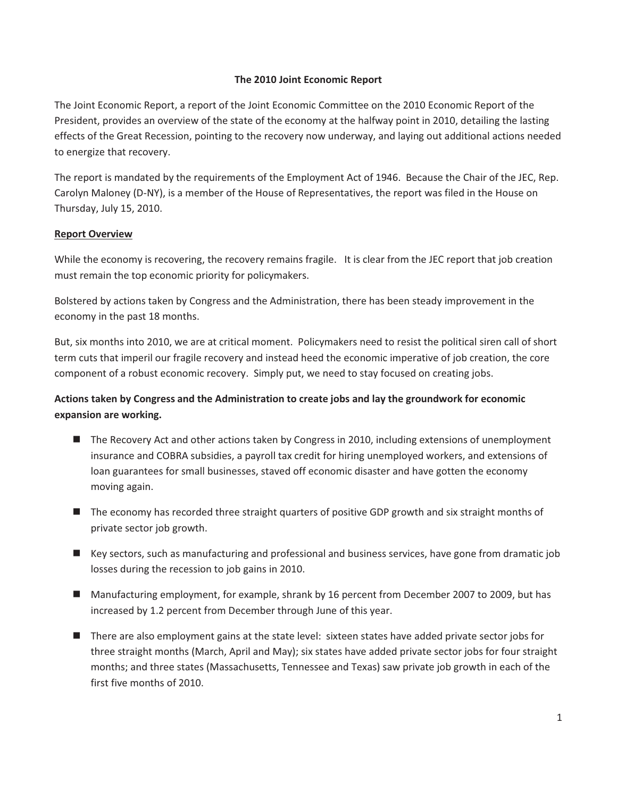#### **The 2010 Joint Economic Report**

The Joint Economic Report, a report of the Joint Economic Committee on the 2010 Economic Report of the President, provides an overview of the state of the economy at the halfway point in 2010, detailing the lasting effects of the Great Recession, pointing to the recovery now underway, and laying out additional actions needed to energize that recovery.

The report is mandated by the requirements of the Employment Act of 1946. Because the Chair of the JEC, Rep. Carolyn Maloney (D-NY), is a member of the House of Representatives, the report was filed in the House on Thursday, July 15, 2010.

#### **Report Overview**

While the economy is recovering, the recovery remains fragile. It is clear from the JEC report that job creation must remain the top economic priority for policymakers.

Bolstered by actions taken by Congress and the Administration, there has been steady improvement in the economy in the past 18 months.

But, six months into 2010, we are at critical moment. Policymakers need to resist the political siren call of short term cuts that imperil our fragile recovery and instead heed the economic imperative of job creation, the core component of a robust economic recovery. Simply put, we need to stay focused on creating jobs.

## **Actions taken by Congress and the Administration to create jobs and lay the groundwork for economic expansion are working.**

- The Recovery Act and other actions taken by Congress in 2010, including extensions of unemployment insurance and COBRA subsidies, a payroll tax credit for hiring unemployed workers, and extensions of loan guarantees for small businesses, staved off economic disaster and have gotten the economy moving again.
- The economy has recorded three straight quarters of positive GDP growth and six straight months of private sector job growth.
- Key sectors, such as manufacturing and professional and business services, have gone from dramatic job losses during the recession to job gains in 2010.
- Manufacturing employment, for example, shrank by 16 percent from December 2007 to 2009, but has increased by 1.2 percent from December through June of this year.
- There are also employment gains at the state level: sixteen states have added private sector jobs for three straight months (March, April and May); six states have added private sector jobs for four straight months; and three states (Massachusetts, Tennessee and Texas) saw private job growth in each of the first five months of 2010.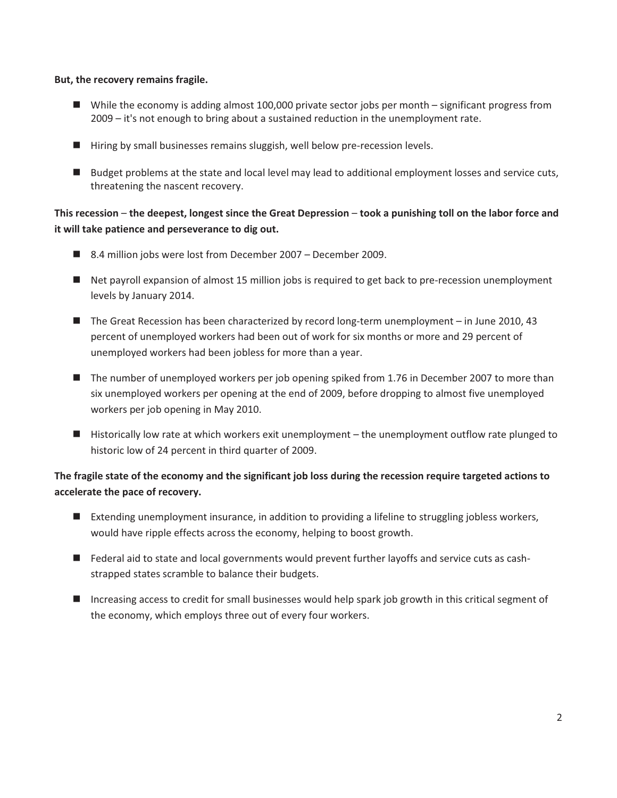#### **But, the recovery remains fragile.**

- While the economy is adding almost 100,000 private sector jobs per month significant progress from 2009 – it's not enough to bring about a sustained reduction in the unemployment rate.
- Hiring by small businesses remains sluggish, well below pre-recession levels.
- Budget problems at the state and local level may lead to additional employment losses and service cuts, threatening the nascent recovery.

## **This recession** – **the deepest, longest since the Great Depression** – **took a punishing toll on the labor force and it will take patience and perseverance to dig out.**

- 8.4 million jobs were lost from December 2007 December 2009.
- Net payroll expansion of almost 15 million jobs is required to get back to pre-recession unemployment levels by January 2014.
- The Great Recession has been characterized by record long-term unemployment in June 2010, 43 percent of unemployed workers had been out of work for six months or more and 29 percent of unemployed workers had been jobless for more than a year.
- The number of unemployed workers per job opening spiked from 1.76 in December 2007 to more than six unemployed workers per opening at the end of 2009, before dropping to almost five unemployed workers per job opening in May 2010.
- Historically low rate at which workers exit unemployment the unemployment outflow rate plunged to historic low of 24 percent in third quarter of 2009.

### **The fragile state of the economy and the significant job loss during the recession require targeted actions to accelerate the pace of recovery.**

- Extending unemployment insurance, in addition to providing a lifeline to struggling jobless workers, would have ripple effects across the economy, helping to boost growth.
- Federal aid to state and local governments would prevent further layoffs and service cuts as cashstrapped states scramble to balance their budgets.
- Increasing access to credit for small businesses would help spark job growth in this critical segment of the economy, which employs three out of every four workers.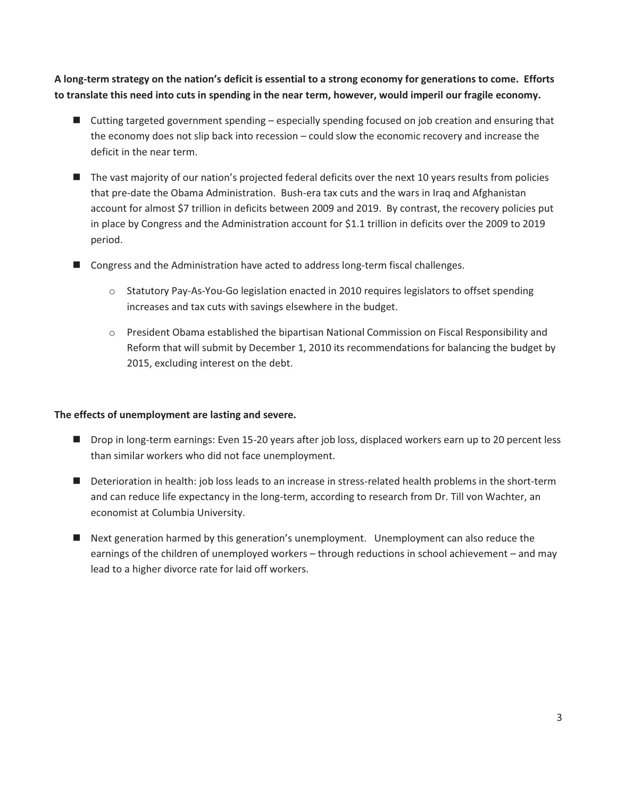**A long-term strategy on the nation's deficit is essential to a strong economy for generations to come. Efforts to translate this need into cuts in spending in the near term, however, would imperil our fragile economy.** 

- Cutting targeted government spending especially spending focused on job creation and ensuring that the economy does not slip back into recession – could slow the economic recovery and increase the deficit in the near term.
- The vast majority of our nation's projected federal deficits over the next 10 years results from policies that pre-date the Obama Administration. Bush-era tax cuts and the wars in Iraq and Afghanistan account for almost \$7 trillion in deficits between 2009 and 2019. By contrast, the recovery policies put in place by Congress and the Administration account for \$1.1 trillion in deficits over the 2009 to 2019 period.
- Congress and the Administration have acted to address long-term fiscal challenges.
	- o Statutory Pay-As-You-Go legislation enacted in 2010 requires legislators to offset spending increases and tax cuts with savings elsewhere in the budget.
	- o President Obama established the bipartisan National Commission on Fiscal Responsibility and Reform that will submit by December 1, 2010 its recommendations for balancing the budget by 2015, excluding interest on the debt.

#### **The effects of unemployment are lasting and severe.**

- Drop in long-term earnings: Even 15-20 years after job loss, displaced workers earn up to 20 percent less than similar workers who did not face unemployment.
- Deterioration in health: job loss leads to an increase in stress-related health problems in the short-term and can reduce life expectancy in the long-term, according to research from Dr. Till von Wachter, an economist at Columbia University.
- Next generation harmed by this generation's unemployment. Unemployment can also reduce the earnings of the children of unemployed workers – through reductions in school achievement – and may lead to a higher divorce rate for laid off workers.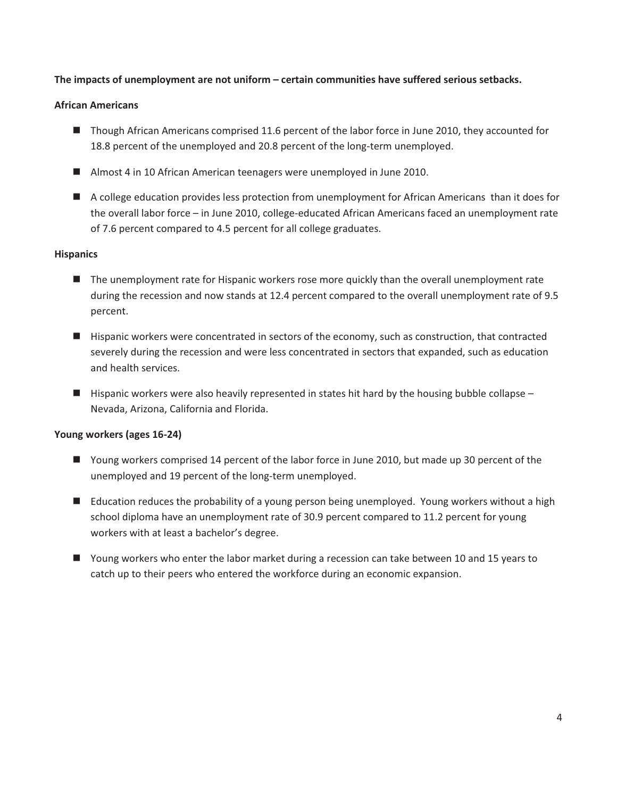#### **The impacts of unemployment are not uniform – certain communities have suffered serious setbacks.**

#### **African Americans**

- Though African Americans comprised 11.6 percent of the labor force in June 2010, they accounted for 18.8 percent of the unemployed and 20.8 percent of the long-term unemployed.
- Almost 4 in 10 African American teenagers were unemployed in June 2010.
- A college education provides less protection from unemployment for African Americans than it does for the overall labor force – in June 2010, college-educated African Americans faced an unemployment rate of 7.6 percent compared to 4.5 percent for all college graduates.

#### **Hispanics**

- The unemployment rate for Hispanic workers rose more quickly than the overall unemployment rate during the recession and now stands at 12.4 percent compared to the overall unemployment rate of 9.5 percent.
- Hispanic workers were concentrated in sectors of the economy, such as construction, that contracted severely during the recession and were less concentrated in sectors that expanded, such as education and health services.
- Hispanic workers were also heavily represented in states hit hard by the housing bubble collapse Nevada, Arizona, California and Florida.

#### **Young workers (ages 16-24)**

- Young workers comprised 14 percent of the labor force in June 2010, but made up 30 percent of the unemployed and 19 percent of the long-term unemployed.
- Education reduces the probability of a young person being unemployed. Young workers without a high school diploma have an unemployment rate of 30.9 percent compared to 11.2 percent for young workers with at least a bachelor's degree.
- Young workers who enter the labor market during a recession can take between 10 and 15 years to catch up to their peers who entered the workforce during an economic expansion.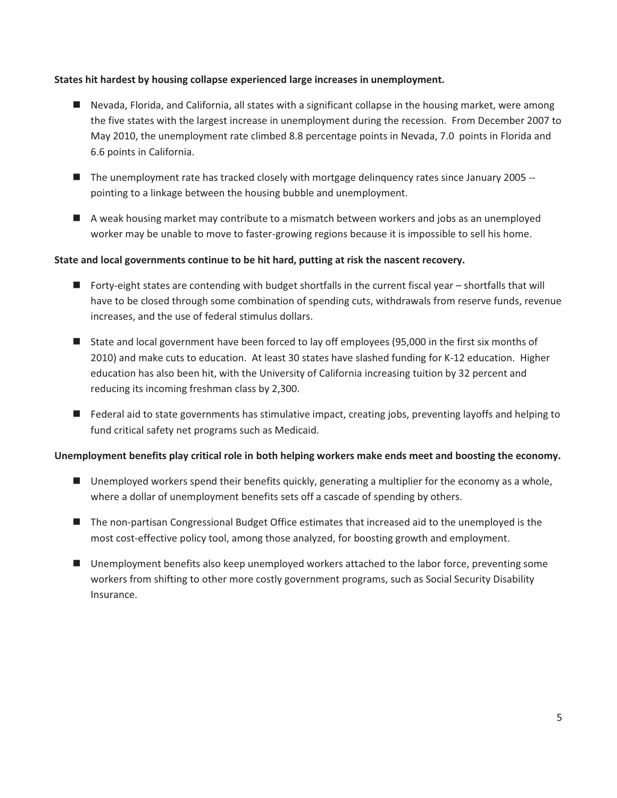#### **States hit hardest by housing collapse experienced large increases in unemployment.**

- Nevada, Florida, and California, all states with a significant collapse in the housing market, were among the five states with the largest increase in unemployment during the recession. From December 2007 to May 2010, the unemployment rate climbed 8.8 percentage points in Nevada, 7.0 points in Florida and 6.6 points in California.
- The unemployment rate has tracked closely with mortgage delinquency rates since January 2005 -pointing to a linkage between the housing bubble and unemployment.
- A weak housing market may contribute to a mismatch between workers and jobs as an unemployed worker may be unable to move to faster-growing regions because it is impossible to sell his home.

#### **State and local governments continue to be hit hard, putting at risk the nascent recovery.**

- Forty-eight states are contending with budget shortfalls in the current fiscal year shortfalls that will have to be closed through some combination of spending cuts, withdrawals from reserve funds, revenue increases, and the use of federal stimulus dollars.
- State and local government have been forced to lay off employees (95,000 in the first six months of 2010) and make cuts to education. At least 30 states have slashed funding for K-12 education. Higher education has also been hit, with the University of California increasing tuition by 32 percent and reducing its incoming freshman class by 2,300.
- Federal aid to state governments has stimulative impact, creating jobs, preventing layoffs and helping to fund critical safety net programs such as Medicaid.

#### **Unemployment benefits play critical role in both helping workers make ends meet and boosting the economy.**

- Unemployed workers spend their benefits quickly, generating a multiplier for the economy as a whole, where a dollar of unemployment benefits sets off a cascade of spending by others.
- The non-partisan Congressional Budget Office estimates that increased aid to the unemployed is the most cost-effective policy tool, among those analyzed, for boosting growth and employment.
- Unemployment benefits also keep unemployed workers attached to the labor force, preventing some workers from shifting to other more costly government programs, such as Social Security Disability Insurance.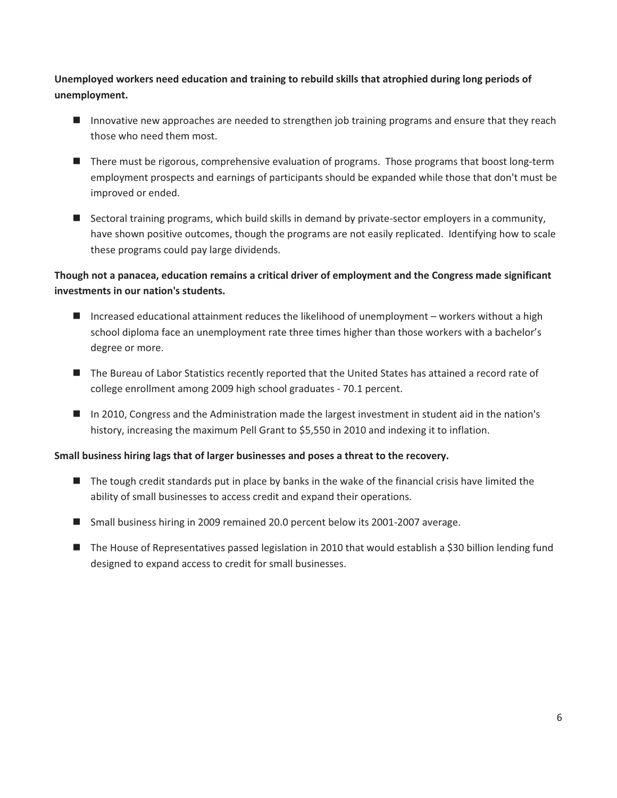**Unemployed workers need education and training to rebuild skills that atrophied during long periods of unemployment.** 

- Innovative new approaches are needed to strengthen job training programs and ensure that they reach those who need them most.
- There must be rigorous, comprehensive evaluation of programs. Those programs that boost long-term employment prospects and earnings of participants should be expanded while those that don't must be improved or ended.
- **E** Sectoral training programs, which build skills in demand by private-sector employers in a community, have shown positive outcomes, though the programs are not easily replicated. Identifying how to scale these programs could pay large dividends.

# **Though not a panacea, education remains a critical driver of employment and the Congress made significant investments in our nation's students.**

- Increased educational attainment reduces the likelihood of unemployment workers without a high school diploma face an unemployment rate three times higher than those workers with a bachelor's degree or more.
- The Bureau of Labor Statistics recently reported that the United States has attained a record rate of college enrollment among 2009 high school graduates - 70.1 percent.
- In 2010, Congress and the Administration made the largest investment in student aid in the nation's history, increasing the maximum Pell Grant to \$5,550 in 2010 and indexing it to inflation.

### **Small business hiring lags that of larger businesses and poses a threat to the recovery.**

- The tough credit standards put in place by banks in the wake of the financial crisis have limited the ability of small businesses to access credit and expand their operations.
- Small business hiring in 2009 remained 20.0 percent below its 2001-2007 average.
- The House of Representatives passed legislation in 2010 that would establish a \$30 billion lending fund designed to expand access to credit for small businesses.